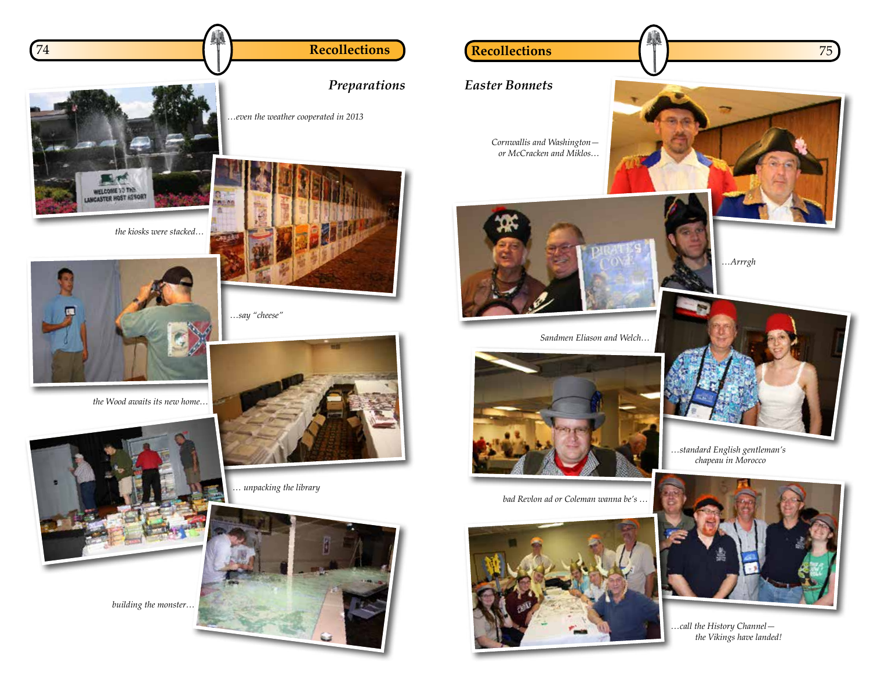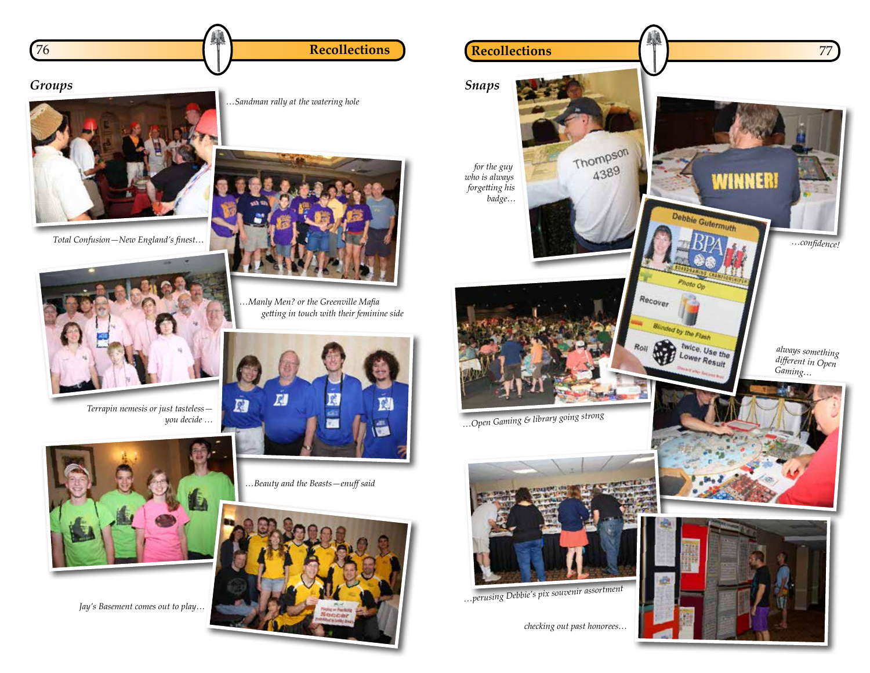



*Total Confusion—New England's finest…*



*Terrapin nemesis or just tasteless you decide …*



*Jay's Basement comes out to play…*

*…Sandman rally at the watering hole*



*…Manly Men? or the Greenville Mafia getting in touch with their feminine side*



*…Beauty and the Beasts—enuff said*



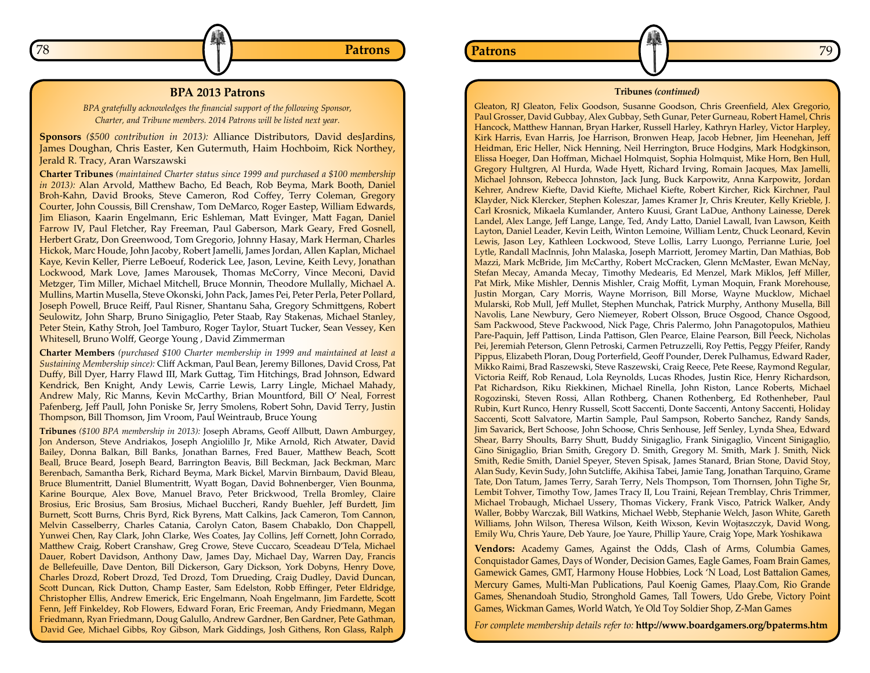## **BPA 2013 Patrons**

*BPA gratefully acknowledges the financial support of the following Sponsor, Charter, and Tribune members. 2014 Patrons will be listed next year.*

**Sponsors** *(\$500 contribution in 2013):* Alliance Distributors, David desJardins, James Doughan, Chris Easter, Ken Gutermuth, Haim Hochboim, Rick Northey, Jerald R. Tracy, Aran Warszawski

**Charter Tribunes** *(maintained Charter status since 1999 and purchased a \$100 membership in 2013):* Alan Arvold, Matthew Bacho, Ed Beach, Rob Beyma, Mark Booth, Daniel Broh-Kahn, David Brooks, Steve Cameron, Rod Coffey, Terry Coleman, Gregory Courter, John Coussis, Bill Crenshaw, Tom DeMarco, Roger Eastep, William Edwards, Jim Eliason, Kaarin Engelmann, Eric Eshleman, Matt Evinger, Matt Fagan, Daniel Farrow IV, Paul Fletcher, Ray Freeman, Paul Gaberson, Mark Geary, Fred Gosnell, Herbert Gratz, Don Greenwood, Tom Gregorio, Johnny Hasay, Mark Herman, Charles Hickok, Marc Houde, John Jacoby, Robert Jamelli, James Jordan, Allen Kaplan, Michael Kaye, Kevin Keller, Pierre LeBoeuf, Roderick Lee, Jason, Levine, Keith Levy, Jonathan Lockwood, Mark Love, James Marousek, Thomas McCorry, Vince Meconi, David Metzger, Tim Miller, Michael Mitchell, Bruce Monnin, Theodore Mullally, Michael A. Mullins, Martin Musella, Steve Okonski, John Pack, James Pei, Peter Perla, Peter Pollard, Joseph Powell, Bruce Reiff, Paul Risner, Shantanu Saha, Gregory Schmittgens, Robert Seulowitz, John Sharp, Bruno Sinigaglio, Peter Staab, Ray Stakenas, Michael Stanley, Peter Stein, Kathy Stroh, Joel Tamburo, Roger Taylor, Stuart Tucker, Sean Vessey, Ken Whitesell, Bruno Wolff, George Young , David Zimmerman

**Charter Members** *(purchased \$100 Charter membership in 1999 and maintained at least a Sustaining Membership since):* Cliff Ackman, Paul Bean, Jeremy Billones, David Cross, Pat Duffy, Bill Dyer, Harry Flawd III, Mark Guttag, Tim Hitchings, Brad Johnson, Edward Kendrick, Ben Knight, Andy Lewis, Carrie Lewis, Larry Lingle, Michael Mahady, Andrew Maly, Ric Manns, Kevin McCarthy, Brian Mountford, Bill O' Neal, Forrest Pafenberg, Jeff Paull, John Poniske Sr, Jerry Smolens, Robert Sohn, David Terry, Justin Thompson, Bill Thomson, Jim Vroom, Paul Weintraub, Bruce Young

**Tribunes** *(\$100 BPA membership in 2013):* Joseph Abrams, Geoff Allbutt, Dawn Amburgey, Jon Anderson, Steve Andriakos, Joseph Angiolillo Jr, Mike Arnold, Rich Atwater, David Bailey, Donna Balkan, Bill Banks, Jonathan Barnes, Fred Bauer, Matthew Beach, Scott Beall, Bruce Beard, Joseph Beard, Barrington Beavis, Bill Beckman, Jack Beckman, Marc Berenbach, Samantha Berk, Richard Beyma, Mark Bickel, Marvin Birnbaum, David Bleau, Bruce Blumentritt, Daniel Blumentritt, Wyatt Bogan, David Bohnenberger, Vien Bounma, Karine Bourque, Alex Bove, Manuel Bravo, Peter Brickwood, Trella Bromley, Claire Brosius, Eric Brosius, Sam Brosius, Michael Buccheri, Randy Buehler, Jeff Burdett, Jim Burnett, Scott Burns, Chris Byrd, Rick Byrens, Matt Calkins, Jack Cameron, Tom Cannon, Melvin Casselberry, Charles Catania, Carolyn Caton, Basem Chabaklo, Don Chappell, Yunwei Chen, Ray Clark, John Clarke, Wes Coates, Jay Collins, Jeff Cornett, John Corrado, Matthew Craig, Robert Cranshaw, Greg Crowe, Steve Cuccaro, Sceadeau D'Tela, Michael Dauer, Robert Davidson, Anthony Daw, James Day, Michael Day, Warren Day, Francis de Bellefeuille, Dave Denton, Bill Dickerson, Gary Dickson, York Dobyns, Henry Dove, Charles Drozd, Robert Drozd, Ted Drozd, Tom Drueding, Craig Dudley, David Duncan, Scott Duncan, Rick Dutton, Champ Easter, Sam Edelston, Robb Effinger, Peter Eldridge, Christopher Ellis, Andrew Emerick, Eric Engelmann, Noah Engelmann, Jim Fardette, Scott Fenn, Jeff Finkeldey, Rob Flowers, Edward Foran, Eric Freeman, Andy Friedmann, Megan Friedmann, Ryan Friedmann, Doug Galullo, Andrew Gardner, Ben Gardner, Pete Gathman, David Gee, Michael Gibbs, Roy Gibson, Mark Giddings, Josh Githens, Ron Glass, Ralph



**Tribunes** *(continued)*

Gleaton, RJ Gleaton, Felix Goodson, Susanne Goodson, Chris Greenfield, Alex Gregorio, Paul Grosser, David Gubbay, Alex Gubbay, Seth Gunar, Peter Gurneau, Robert Hamel, Chris Hancock, Matthew Hannan, Bryan Harker, Russell Harley, Kathryn Harley, Victor Harpley, Kirk Harris, Evan Harris, Joe Harrison, Bronwen Heap, Jacob Hebner, Jim Heenehan, Jeff Heidman, Eric Heller, Nick Henning, Neil Herrington, Bruce Hodgins, Mark Hodgkinson, Elissa Hoeger, Dan Hoffman, Michael Holmquist, Sophia Holmquist, Mike Horn, Ben Hull, Gregory Hultgren, Al Hurda, Wade Hyett, Richard Irving, Romain Jacques, Max Jamelli, Michael Johnson, Rebecca Johnston, Jack Jung, Buck Karpowitz, Anna Karpowitz, Jordan Kehrer, Andrew Kiefte, David Kiefte, Michael Kiefte, Robert Kircher, Rick Kirchner, Paul Klayder, Nick Klercker, Stephen Koleszar, James Kramer Jr, Chris Kreuter, Kelly Krieble, J. Carl Krosnick, Mikaela Kumlander, Antero Kuusi, Grant LaDue, Anthony Lainesse, Derek Landel, Alex Lange, Jeff Lange, Lange, Ted, Andy Latto, Daniel Lawall, Ivan Lawson, Keith Layton, Daniel Leader, Kevin Leith, Winton Lemoine, William Lentz, Chuck Leonard, Kevin Lewis, Jason Ley, Kathleen Lockwood, Steve Lollis, Larry Luongo, Perrianne Lurie, Joel Lytle, Randall MacInnis, John Malaska, Joseph Marriott, Jeromey Martin, Dan Mathias, Bob Mazzi, Mark McBride, Jim McCarthy, Robert McCracken, Glenn McMaster, Ewan McNay, Stefan Mecay, Amanda Mecay, Timothy Medearis, Ed Menzel, Mark Miklos, Jeff Miller, Pat Mirk, Mike Mishler, Dennis Mishler, Craig Moffit, Lyman Moquin, Frank Morehouse, Justin Morgan, Cary Morris, Wayne Morrison, Bill Morse, Wayne Mucklow, Michael Mularski, Rob Mull, Jeff Mullet, Stephen Munchak, Patrick Murphy, Anthony Musella, Bill Navolis, Lane Newbury, Gero Niemeyer, Robert Olsson, Bruce Osgood, Chance Osgood, Sam Packwood, Steve Packwood, Nick Page, Chris Palermo, John Panagotopulos, Mathieu Pare-Paquin, Jeff Pattison, Linda Pattison, Glen Pearce, Elaine Pearson, Bill Peeck, Nicholas Pei, Jeremiah Peterson, Glenn Petroski, Carmen Petruzzelli, Roy Pettis, Peggy Pfeifer, Randy Pippus, Elizabeth Ploran, Doug Porterfield, Geoff Pounder, Derek Pulhamus, Edward Rader, Mikko Raimi, Brad Raszewski, Steve Raszewski, Craig Reece, Pete Reese, Raymond Regular, Victoria Reiff, Rob Renaud, Lola Reynolds, Lucas Rhodes, Justin Rice, Henry Richardson, Pat Richardson, Riku Riekkinen, Michael Rinella, John Riston, Lance Roberts, Michael Rogozinski, Steven Rossi, Allan Rothberg, Chanen Rothenberg, Ed Rothenheber, Paul Rubin, Kurt Runco, Henry Russell, Scott Saccenti, Donte Saccenti, Antony Saccenti, Holiday Saccenti, Scott Salvatore, Martin Sample, Paul Sampson, Roberto Sanchez, Randy Sands, Jim Savarick, Bert Schoose, John Schoose, Chris Senhouse, Jeff Senley, Lynda Shea, Edward Shear, Barry Shoults, Barry Shutt, Buddy Sinigaglio, Frank Sinigaglio, Vincent Sinigaglio, Gino Sinigaglio, Brian Smith, Gregory D. Smith, Gregory M. Smith, Mark J. Smith, Nick Smith, Redie Smith, Daniel Speyer, Steven Spisak, James Stanard, Brian Stone, David Stoy, Alan Sudy, Kevin Sudy, John Sutcliffe, Akihisa Tabei, Jamie Tang, Jonathan Tarquino, Grame Tate, Don Tatum, James Terry, Sarah Terry, Nels Thompson, Tom Thornsen, John Tighe Sr, Lembit Tohver, Timothy Tow, James Tracy II, Lou Traini, Rejean Tremblay, Chris Trimmer, Michael Trobaugh, Michael Ussery, Thomas Vickery, Frank Visco, Patrick Walker, Andy Waller, Bobby Warczak, Bill Watkins, Michael Webb, Stephanie Welch, Jason White, Gareth Williams, John Wilson, Theresa Wilson, Keith Wixson, Kevin Wojtaszczyk, David Wong, Emily Wu, Chris Yaure, Deb Yaure, Joe Yaure, Phillip Yaure, Craig Yope, Mark Yoshikawa

**Vendors:** Academy Games, Against the Odds, Clash of Arms, Columbia Games, Conquistador Games, Days of Wonder, Decision Games, Eagle Games, Foam Brain Games, Gamewick Games, GMT, Harmony House Hobbies, Lock 'N Load, Lost Battalion Games, Mercury Games, Multi-Man Publications, Paul Koenig Games, Plaay.Com, Rio Grande Games, Shenandoah Studio, Stronghold Games, Tall Towers, Udo Grebe, Victory Point Games, Wickman Games, World Watch, Ye Old Toy Soldier Shop, Z-Man Games

*For complete membership details refer to:* **http://www.boardgamers.org/bpaterms.htm**